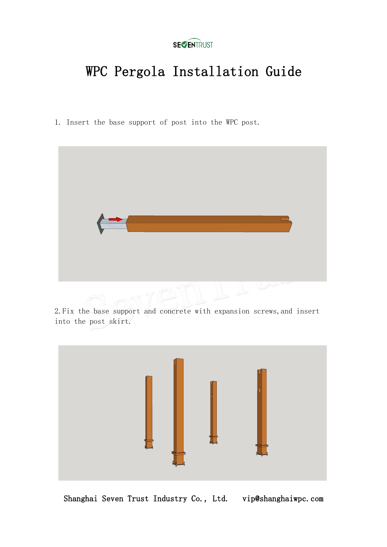

# WPC Pergola Installation Guide

1. Insert the base support of post into the WPC post.



2.Fix the base support and concrete with expansion screws,and insert into the post skirt.



Shanghai Seven Trust Industry Co., Ltd. vip@shanghaiwpc.com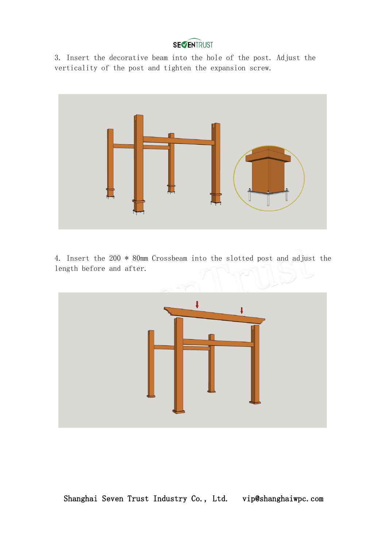#### **SEVENTRUST**

3. Insert the decorative beam into the hole of the post. Adjust the verticality of the post and tighten the expansion screw.



4. Insert the 200 \* 80mm Crossbeam into the slotted post and adjust the length before and after.

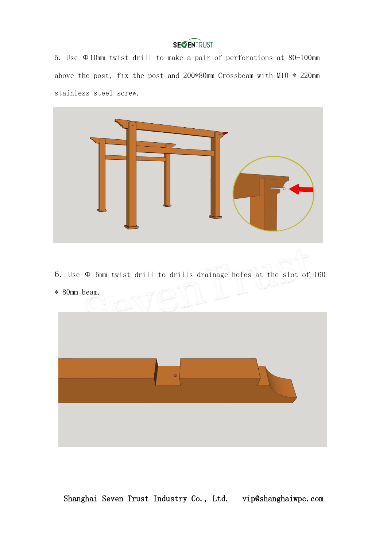# **SECENTRUST**

5. Use Φ10mm twist drill to make a pair of perforations at 80-100mm above the post, fix the post and 200\*80mm Crossbeam with M10 \* 220mm stainless steel screw.

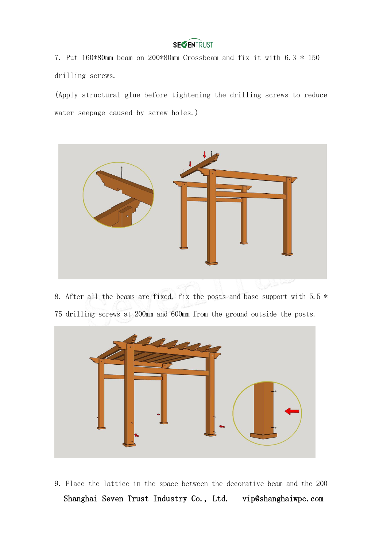# **SEVENTRUST**

7. Put 160\*80mm beam on 200\*80mm Crossbeam and fix it with 6.3 \* 150 drilling screws.

(Apply structural glue before tightening the drilling screws to reduce water seepage caused by screw holes.)



8. After all the beams are fixed, fix the posts and base support with  $5.5*$ 75 drilling screws at 200mm and 600mm from the ground outside the posts.



Shanghai Seven Trust Industry Co., Ltd. vip@shanghaiwpc.com 9. Place the lattice in the space between the decorative beam and the 200